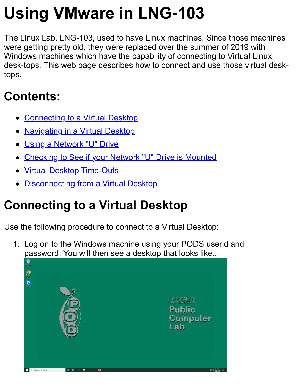# **Using VMware in LNG-103**

The Linux Lab, LNG-103, used to have Linux machines. Since those machines were getting pretty old, they were replaced over the summer of 2019 with Windows machines which have the capability of connecting to Virtual Linux desk-tops. This web page describes how to connect and use those virtual desktops.

### <span id="page-0-1"></span>**Contents:**

- [Connecting to a Virtual Desktop](#page-0-0)
- [Navigating in a Virtual Desktop](#page-4-0)
- [Using a Network "U" Drive](#page-7-0)
- [Checking to See if your Network "U" Drive is Mounted](#page-8-0)
- **[Virtual Desktop Time-Outs](#page-9-0)**
- [Disconnecting from a Virtual Desktop](#page-10-0)

## <span id="page-0-0"></span>**Connecting to a Virtual Desktop**

Use the following procedure to connect to a Virtual Desktop:

1. Log on to the Windows machine using your PODS userid and password. You will then see a desktop that looks like...

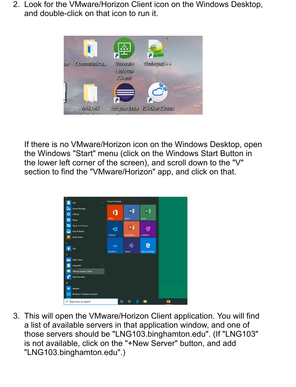2. Look for the VMware/Horizon Client icon on the Windows Desktop, and double-click on that icon to run it.



If there is no VMware/Horizon icon on the Windows Desktop, open the Windows "Start" menu (click on the Windows Start Button in the lower left corner of the screen), and scroll down to the "V" section to find the "VMware/Horizon" app, and click on that.



3. This will open the VMware/Horizon Client application. You will find a list of available servers in that application window, and one of those servers should be "LNG103.binghamton.edu". (If "LNG103" is not available, click on the "+New Server" button, and add "LNG103.binghamton.edu".)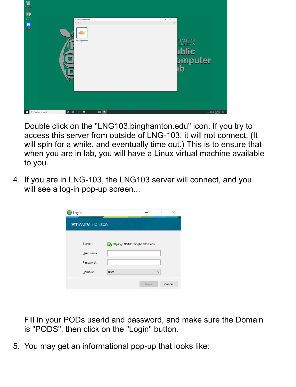

Double click on the "LNG103.binghamton.edu" icon. If you try to access this server from outside of LNG-103, it will not connect. (It will spin for a while, and eventually time out.) This is to ensure that when you are in lab, you will have a Linux virtual machine available to you.

4. If you are in LNG-103, the LNG103 server will connect, and you will see a log-in pop-up screen...

| <b>vmware</b> Horizon |            |                               |  |
|-----------------------|------------|-------------------------------|--|
| Server:               |            | https://LNG103.binghamton.edu |  |
| User name:            |            |                               |  |
|                       |            |                               |  |
| Password:             |            |                               |  |
|                       | <b>BGM</b> |                               |  |

Fill in your PODs userid and password, and make sure the Domain is "PODS", then click on the "Login" button.

5. You may get an informational pop-up that looks like: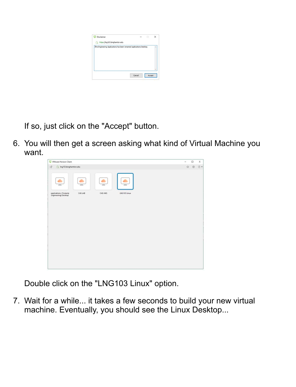

If so, just click on the "Accept" button.

6. You will then get a screen asking what kind of Virtual Machine you want.



Double click on the "LNG103 Linux" option.

7. Wait for a while... it takes a few seconds to build your new virtual machine. Eventually, you should see the Linux Desktop...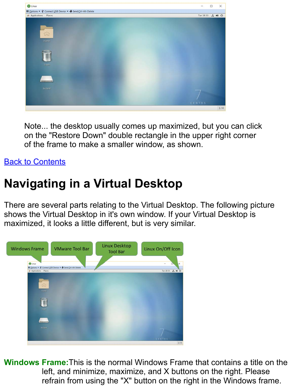

Note... the desktop usually comes up maximized, but you can click on the "Restore Down" double rectangle in the upper right corner of the frame to make a smaller window, as shown.

#### [Back to Contents](#page-0-1)

### <span id="page-4-0"></span>**Navigating in a Virtual Desktop**

There are several parts relating to the Virtual Desktop. The following picture shows the Virtual Desktop in it's own window. If your Virtual Desktop is maximized, it looks a little different, but is very similar.



**Windows Frame:** This is the normal Windows Frame that contains a title on the left, and minimize, maximize, and X buttons on the right. Please refrain from using the "X" button on the right in the Windows frame.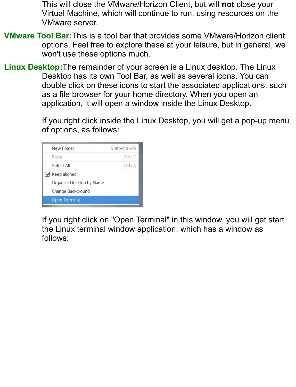This will close the VMware/Horizon Client, but will **not** close your Virtual Machine, which will continue to run, using resources on the VMware server.

- **VMware Tool Bar:**This is a tool bar that provides some VMware/Horizon client options. Feel free to explore these at your leisure, but in general, we won't use these options much.
- Linux Desktop: The remainder of your screen is a Linux desktop. The Linux Desktop has its own Tool Bar, as well as several icons. You can double click on these icons to start the associated applications, such as a file browser for your home directory. When you open an application, it will open a window inside the Linux Desktop.

If you right click inside the Linux Desktop, you will get a pop-up menu of options, as follows:

| New Folder               | Shift+Ctrl+N |
|--------------------------|--------------|
| Paste                    | $CtrI+V$     |
| Select All               | $Ctrl+A$     |
| ■ Keep aligned           |              |
| Organize Desktop by Name |              |
| Change Background        |              |
| <b>Open Terminal</b>     |              |

If you right click on "Open Terminal" in this window, you will get start the Linux terminal window application, which has a window as follows: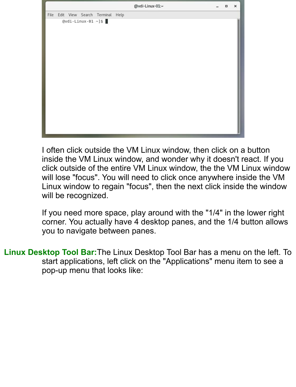|      |  |                       |                                | @vdi-Linux-01:~ | $\Box$ | $\pmb{\times}$ |
|------|--|-----------------------|--------------------------------|-----------------|--------|----------------|
| File |  |                       | Edit View Search Terminal Help |                 |        |                |
|      |  | $Qvdi$ -Linux-01 ~]\$ |                                |                 |        |                |

I often click outside the VM Linux window, then click on a button inside the VM Linux window, and wonder why it doesn't react. If you click outside of the entire VM Linux window, the the VM Linux window will lose "focus". You will need to click once anywhere inside the VM Linux window to regain "focus", then the next click inside the window will be recognized.

If you need more space, play around with the "1/4" in the lower right corner. You actually have 4 desktop panes, and the 1/4 button allows you to navigate between panes.

Linux Desktop Tool Bar: The Linux Desktop Tool Bar has a menu on the left. To start applications, left click on the "Applications" menu item to see a pop-up menu that looks like: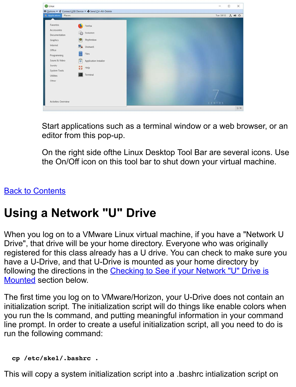| <b>O</b> Linux               |                                                                      | $\times$<br>$\Box$<br>$\overline{\phantom{a}}$ |
|------------------------------|----------------------------------------------------------------------|------------------------------------------------|
|                              | <sup>■</sup> Options ▼ V Connect USB Device ▼ → Send Ctrl-Alt-Delete |                                                |
| <b>S</b> Applications Places |                                                                      | Tue 18:51 . 40 0                               |
|                              |                                                                      |                                                |
| Favorites                    | G<br>Firefox                                                         |                                                |
| Accessories                  | ණ<br>Evolution                                                       |                                                |
| Documentation                |                                                                      |                                                |
| Graphics                     | Rhythmbox<br>  0                                                     |                                                |
| Internet                     | Shotwell                                                             |                                                |
| Office                       |                                                                      |                                                |
| Programming                  | ē<br><b>Files</b>                                                    |                                                |
| Sound & Video                | i o<br>Application Installer                                         |                                                |
| Sundry                       | $\frac{48}{32}$<br>Help                                              |                                                |
| System Tools                 |                                                                      |                                                |
| <b>Utilities</b>             | Terminal                                                             |                                                |
| Other                        |                                                                      |                                                |
|                              |                                                                      |                                                |
|                              |                                                                      |                                                |
|                              |                                                                      |                                                |
| <b>Activities Overview</b>   |                                                                      |                                                |
|                              |                                                                      | CENTOS                                         |
|                              |                                                                      | 1/4                                            |

Start applications such as a terminal window or a web browser, or an editor from this pop-up.

On the right side ofthe Linux Desktop Tool Bar are several icons. Use the On/Off icon on this tool bar to shut down your virtual machine.

#### [Back to Contents](#page-0-1)

#### <span id="page-7-0"></span>**Using a Network "U" Drive**

When you log on to a VMware Linux virtual machine, if you have a "Network U Drive", that drive will be your home directory. Everyone who was originally registered for this class already has a U drive. You can check to make sure you have a U-Drive, and that U-Drive is mounted as your home directory by [following the directions in the Checking to See if your Network "U" Drive is](#page-8-0) Mounted section below.

The first time you log on to VMware/Horizon, your U-Drive does not contain an initialization script. The initialization script will do things like enable colors when you run the ls command, and putting meaningful information in your command line prompt. In order to create a useful initialization script, all you need to do is run the following command:

#### **cp /etc/skel/.bashrc .**

This will copy a system initialization script into a .bashrc intialization script on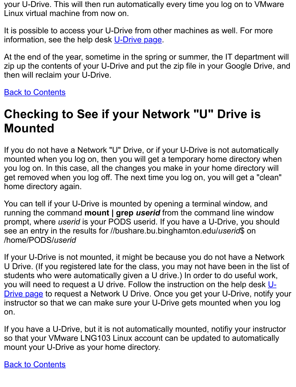your U-Drive. This will then run automatically every time you log on to VMware Linux virtual machine from now on.

It is possible to access your U-Drive from other machines as well. For more information, see the help desk [U-Drive page](https://www.binghamton.edu/its/about/organization/technology-support-services/helpdesk/u-drive.html).

At the end of the year, sometime in the spring or summer, the IT department will zip up the contents of your U-Drive and put the zip file in your Google Drive, and then will reclaim your U-Drive.

**[Back to Contents](#page-0-1)** 

#### <span id="page-8-0"></span>**Checking to See if your Network "U" Drive is Mounted**

If you do not have a Network "U" Drive, or if your U-Drive is not automatically mounted when you log on, then you will get a temporary home directory when you log on. In this case, all the changes you make in your home directory will get removed when you log off. The next time you log on, you will get a "clean" home directory again.

You can tell if your U-Drive is mounted by opening a terminal window, and running the command **mount | grep** *userid* from the command line window prompt, where *userid* is your PODS userid. If you have a U-Drive, you should see an entry in the results for //bushare.bu.binghamton.edu/*userid*\$ on /home/PODS/*userid*

If your U-Drive is not mounted, it might be because you do not have a Network U Drive. (If you registered late for the class, you may not have been in the list of students who were automatically given a U drive.) In order to do useful work, [you will need to request a U drive. Follow the instruction on the help desk U-](https://www.binghamton.edu/its/about/organization/technology-support-services/helpdesk/u-drive.html)Drive page to request a Network U Drive. Once you get your U-Drive, notify your instructor so that we can make sure your U-Drive gets mounted when you log on.

If you have a U-Drive, but it is not automatically mounted, notifiy your instructor so that your VMware LNG103 Linux account can be updated to automatically mount your U-Drive as your home directory.

[Back to Contents](#page-0-1)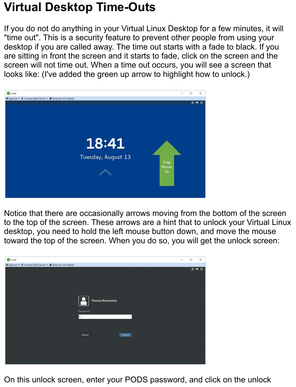#### <span id="page-9-0"></span>**Virtual Desktop Time-Outs**

If you do not do anything in your Virtual Linux Desktop for a few minutes, it will "time out". This is a security feature to prevent other people from using your desktop if you are called away. The time out starts with a fade to black. If you are sitting in front the screen and it starts to fade, click on the screen and the screen will not time out. When a time out occurs, you will see a screen that looks like: (I've added the green up arrow to highlight how to unlock.)



Notice that there are occasionally arrows moving from the bottom of the screen to the top of the screen. These arrows are a hint that to unlock your Virtual Linux desktop, you need to hold the left mouse button down, and move the mouse toward the top of the screen. When you do so, you will get the unlock screen:



On this unlock screen, enter your PODS password, and click on the unlock